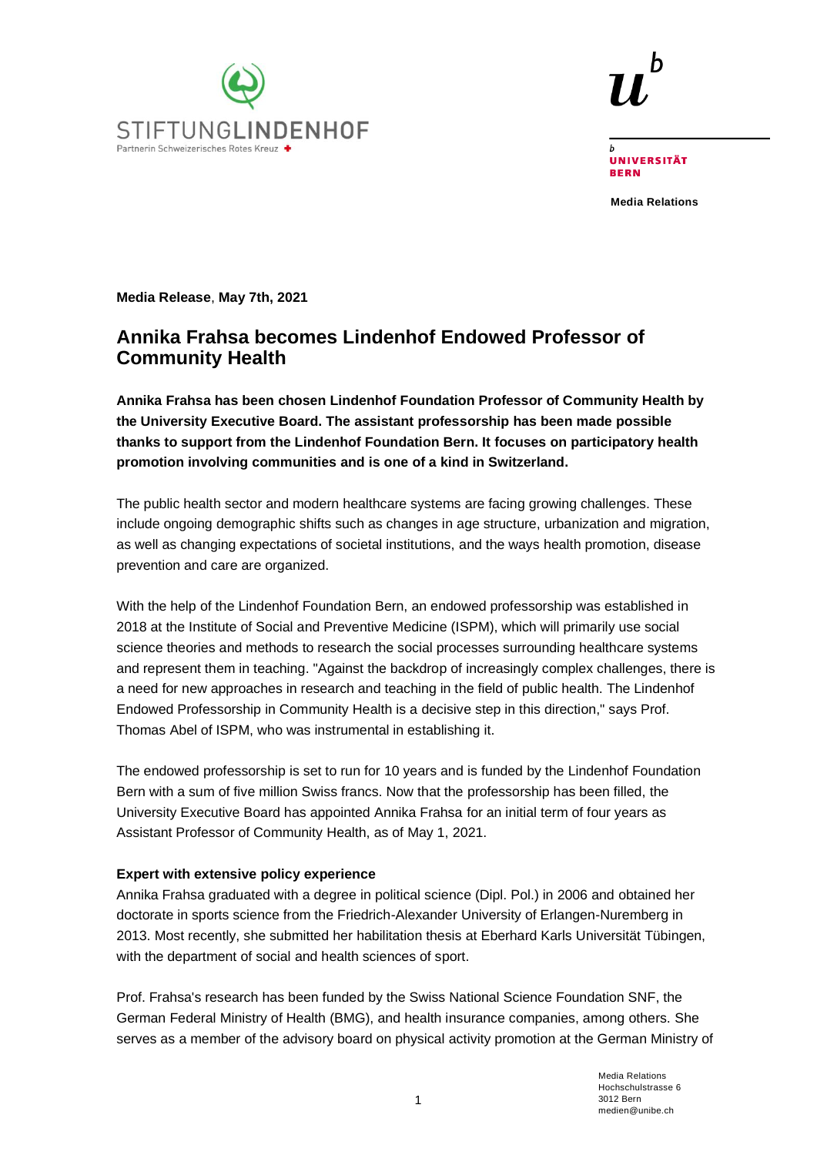



UNIVERSITÄT **RERN** 

**Media Relations**

**Media Release**, **May 7th, 2021**

# **Annika Frahsa becomes Lindenhof Endowed Professor of Community Health**

**Annika Frahsa has been chosen Lindenhof Foundation Professor of Community Health by the University Executive Board. The assistant professorship has been made possible thanks to support from the Lindenhof Foundation Bern. It focuses on participatory health promotion involving communities and is one of a kind in Switzerland.** 

The public health sector and modern healthcare systems are facing growing challenges. These include ongoing demographic shifts such as changes in age structure, urbanization and migration, as well as changing expectations of societal institutions, and the ways health promotion, disease prevention and care are organized.

With the help of the Lindenhof Foundation Bern, an endowed professorship was established in 2018 at the Institute of Social and Preventive Medicine (ISPM), which will primarily use social science theories and methods to research the social processes surrounding healthcare systems and represent them in teaching. "Against the backdrop of increasingly complex challenges, there is a need for new approaches in research and teaching in the field of public health. The Lindenhof Endowed Professorship in Community Health is a decisive step in this direction," says Prof. Thomas Abel of ISPM, who was instrumental in establishing it.

The endowed professorship is set to run for 10 years and is funded by the Lindenhof Foundation Bern with a sum of five million Swiss francs. Now that the professorship has been filled, the University Executive Board has appointed Annika Frahsa for an initial term of four years as Assistant Professor of Community Health, as of May 1, 2021.

## **Expert with extensive policy experience**

Annika Frahsa graduated with a degree in political science (Dipl. Pol.) in 2006 and obtained her doctorate in sports science from the Friedrich-Alexander University of Erlangen-Nuremberg in 2013. Most recently, she submitted her habilitation thesis at Eberhard Karls Universität Tübingen, with the department of social and health sciences of sport.

Prof. Frahsa's research has been funded by the Swiss National Science Foundation SNF, the German Federal Ministry of Health (BMG), and health insurance companies, among others. She serves as a member of the advisory board on physical activity promotion at the German Ministry of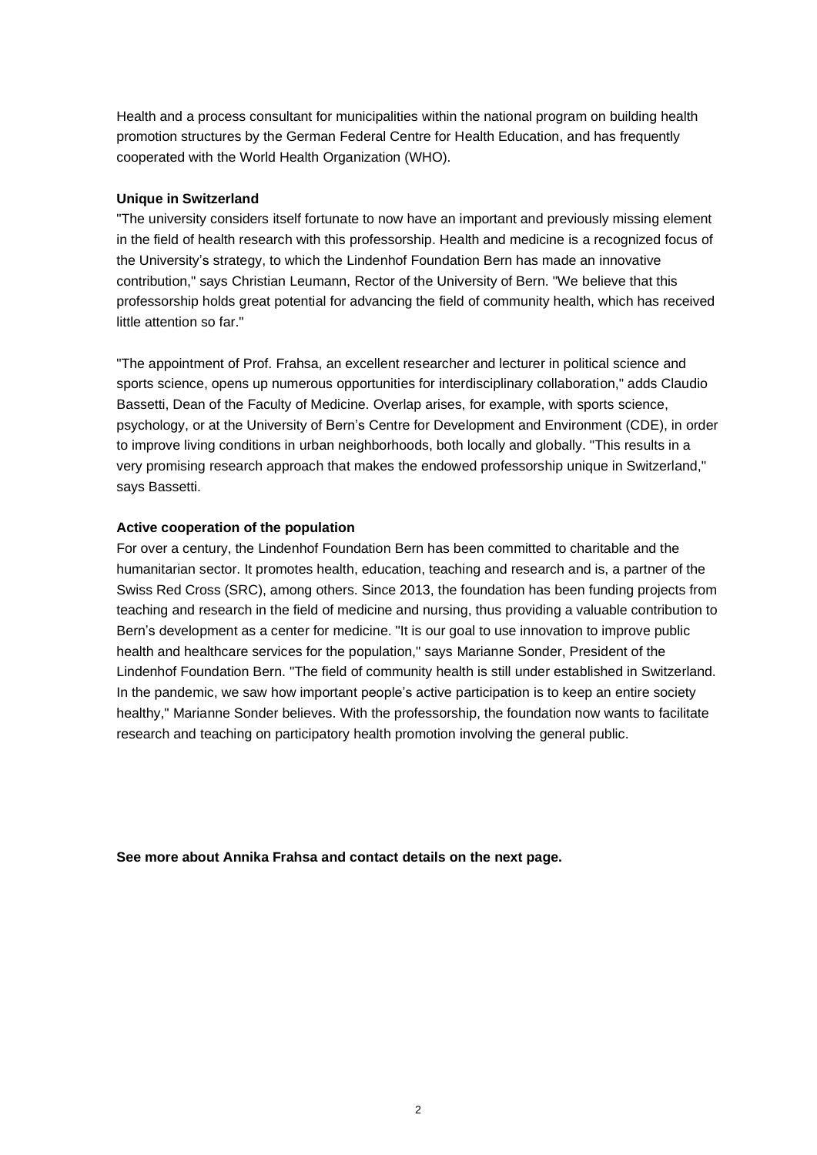Health and a process consultant for municipalities within the national program on building health promotion structures by the German Federal Centre for Health Education, and has frequently cooperated with the World Health Organization (WHO).

#### **Unique in Switzerland**

"The university considers itself fortunate to now have an important and previously missing element in the field of health research with this professorship. Health and medicine is a recognized focus of the University's strategy, to which the Lindenhof Foundation Bern has made an innovative contribution," says Christian Leumann, Rector of the University of Bern. "We believe that this professorship holds great potential for advancing the field of community health, which has received little attention so far."

"The appointment of Prof. Frahsa, an excellent researcher and lecturer in political science and sports science, opens up numerous opportunities for interdisciplinary collaboration," adds Claudio Bassetti, Dean of the Faculty of Medicine. Overlap arises, for example, with sports science, psychology, or at the University of Bern's Centre for Development and Environment (CDE), in order to improve living conditions in urban neighborhoods, both locally and globally. "This results in a very promising research approach that makes the endowed professorship unique in Switzerland," says Bassetti.

### **Active cooperation of the population**

For over a century, the Lindenhof Foundation Bern has been committed to charitable and the humanitarian sector. It promotes health, education, teaching and research and is, a partner of the Swiss Red Cross (SRC), among others. Since 2013, the foundation has been funding projects from teaching and research in the field of medicine and nursing, thus providing a valuable contribution to Bern's development as a center for medicine. "It is our goal to use innovation to improve public health and healthcare services for the population," says Marianne Sonder, President of the Lindenhof Foundation Bern. "The field of community health is still under established in Switzerland. In the pandemic, we saw how important people's active participation is to keep an entire society healthy," Marianne Sonder believes. With the professorship, the foundation now wants to facilitate research and teaching on participatory health promotion involving the general public.

**See more about Annika Frahsa and contact details on the next page.**